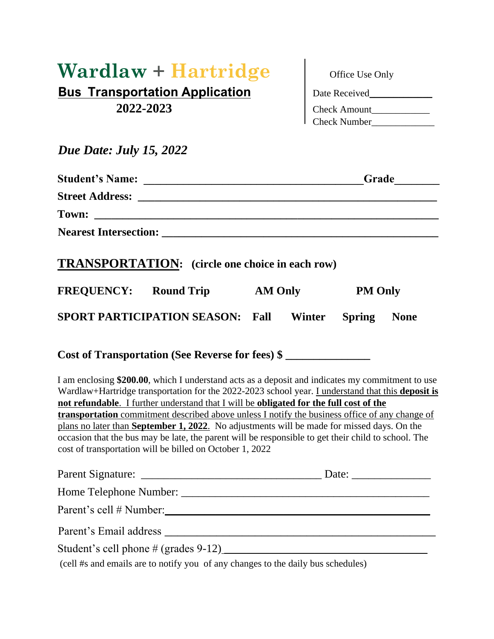## $\textbf{Wardlaw} + \textbf{Hartridge}$ **Bus Transportation Application** 2022-2023

| Office Use Only     |
|---------------------|
| Date Received       |
| <b>Check Amount</b> |
| <b>Check Number</b> |

## *Due Date: July 15, 2022*

|  | <b>TRANSPORTATION:</b> (circle one choice in each row)                                                                                                                                                                                                                                                                                                                                                                                                                                                                                                                                                                                                             |                |        |                |             |
|--|--------------------------------------------------------------------------------------------------------------------------------------------------------------------------------------------------------------------------------------------------------------------------------------------------------------------------------------------------------------------------------------------------------------------------------------------------------------------------------------------------------------------------------------------------------------------------------------------------------------------------------------------------------------------|----------------|--------|----------------|-------------|
|  | <b>FREQUENCY:</b> Round Trip                                                                                                                                                                                                                                                                                                                                                                                                                                                                                                                                                                                                                                       | <b>AM Only</b> |        | <b>PM Only</b> |             |
|  | <b>SPORT PARTICIPATION SEASON:</b>                                                                                                                                                                                                                                                                                                                                                                                                                                                                                                                                                                                                                                 | Fall           | Winter | <b>Spring</b>  | <b>None</b> |
|  | Cost of Transportation (See Reverse for fees) \$                                                                                                                                                                                                                                                                                                                                                                                                                                                                                                                                                                                                                   |                |        |                |             |
|  | I am enclosing \$200.00, which I understand acts as a deposit and indicates my commitment to use<br>Wardlaw+Hartridge transportation for the 2022-2023 school year. I understand that this deposit is<br>not refundable. I further understand that I will be obligated for the full cost of the<br>transportation commitment described above unless I notify the business office of any change of<br>plans no later than September 1, 2022. No adjustments will be made for missed days. On the<br>occasion that the bus may be late, the parent will be responsible to get their child to school. The<br>cost of transportation will be billed on October 1, 2022 |                |        |                |             |
|  |                                                                                                                                                                                                                                                                                                                                                                                                                                                                                                                                                                                                                                                                    |                |        |                |             |
|  |                                                                                                                                                                                                                                                                                                                                                                                                                                                                                                                                                                                                                                                                    |                |        |                |             |
|  |                                                                                                                                                                                                                                                                                                                                                                                                                                                                                                                                                                                                                                                                    |                |        |                |             |
|  |                                                                                                                                                                                                                                                                                                                                                                                                                                                                                                                                                                                                                                                                    |                |        |                |             |
|  | Student's cell phone # (grades 9-12)                                                                                                                                                                                                                                                                                                                                                                                                                                                                                                                                                                                                                               |                |        |                |             |

(cell #s and emails are to notify you of any changes to the daily bus schedules)